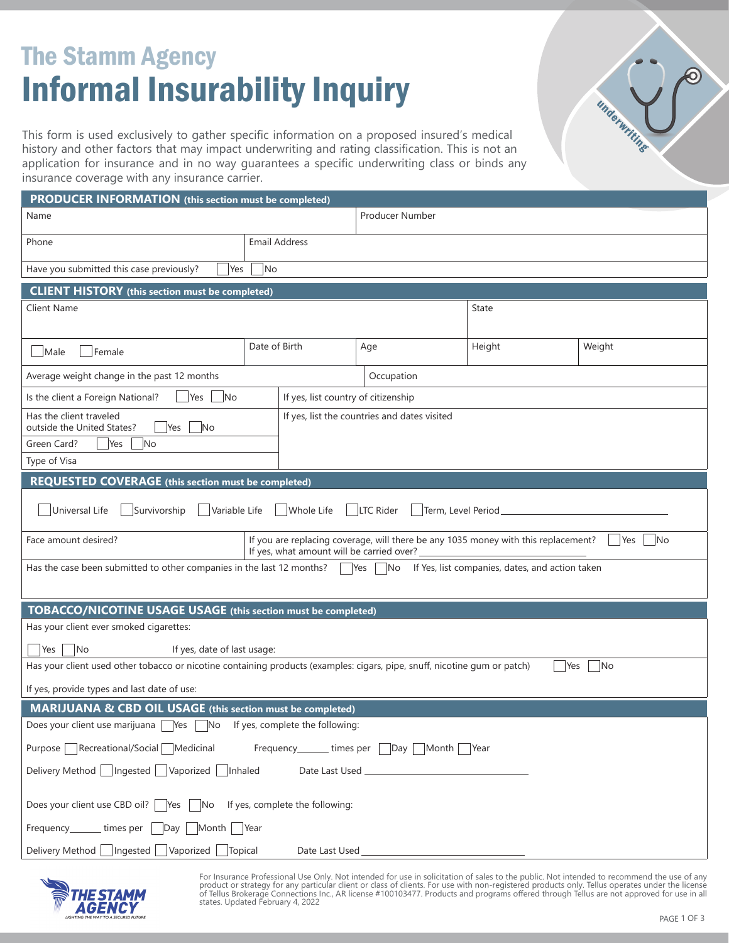# The Stamm Agency Informal Insurability Inquiry

underwriting

This form is used exclusively to gather specific information on a proposed insured's medical history and other factors that may impact underwriting and rating classification. This is not an application for insurance and in no way guarantees a specific underwriting class or binds any insurance coverage with any insurance carrier.

| <b>PRODUCER INFORMATION</b> (this section must be completed)                                                                                                                                                                                                                                                                                                                                                              |                                     |                 |        |        |
|---------------------------------------------------------------------------------------------------------------------------------------------------------------------------------------------------------------------------------------------------------------------------------------------------------------------------------------------------------------------------------------------------------------------------|-------------------------------------|-----------------|--------|--------|
| Name                                                                                                                                                                                                                                                                                                                                                                                                                      |                                     | Producer Number |        |        |
| Phone                                                                                                                                                                                                                                                                                                                                                                                                                     | <b>Email Address</b>                |                 |        |        |
| Have you submitted this case previously?<br>Yes                                                                                                                                                                                                                                                                                                                                                                           | No                                  |                 |        |        |
| <b>CLIENT HISTORY</b> (this section must be completed)                                                                                                                                                                                                                                                                                                                                                                    |                                     |                 |        |        |
| Client Name                                                                                                                                                                                                                                                                                                                                                                                                               |                                     |                 | State  |        |
| Female<br>Male                                                                                                                                                                                                                                                                                                                                                                                                            | Date of Birth                       | Age             | Height | Weight |
| Average weight change in the past 12 months<br>Occupation                                                                                                                                                                                                                                                                                                                                                                 |                                     |                 |        |        |
| N <sub>O</sub><br>Is the client a Foreign National?<br>Yes                                                                                                                                                                                                                                                                                                                                                                | If yes, list country of citizenship |                 |        |        |
| Has the client traveled<br>If yes, list the countries and dates visited<br>outside the United States?<br>Yes<br><b>No</b><br>Green Card?<br>Yes<br>No                                                                                                                                                                                                                                                                     |                                     |                 |        |        |
| Type of Visa<br>REQUESTED COVERAGE (this section must be completed)                                                                                                                                                                                                                                                                                                                                                       |                                     |                 |        |        |
| Universal Life<br>Survivorship<br>Variable Life<br>Whole Life<br>LTC Rider<br>Term, Level Period<br>If you are replacing coverage, will there be any 1035 money with this replacement?<br>Face amount desired?<br><b>No</b><br>Yes<br>If yes, what amount will be carried over?<br>Has the case been submitted to other companies in the last 12 months?<br>Yes<br>No.<br>If Yes, list companies, dates, and action taken |                                     |                 |        |        |
| <b>TOBACCO/NICOTINE USAGE USAGE</b> (this section must be completed)                                                                                                                                                                                                                                                                                                                                                      |                                     |                 |        |        |
| Has your client ever smoked cigarettes:<br> No<br>If yes, date of last usage:<br>Yes                                                                                                                                                                                                                                                                                                                                      |                                     |                 |        |        |
| Has your client used other tobacco or nicotine containing products (examples: cigars, pipe, snuff, nicotine gum or patch)<br>$\overline{\mathsf{No}}$<br>Yes                                                                                                                                                                                                                                                              |                                     |                 |        |        |
| If yes, provide types and last date of use:                                                                                                                                                                                                                                                                                                                                                                               |                                     |                 |        |        |
| <b>MARIJUANA &amp; CBD OIL USAGE</b> (this section must be completed)<br>Does your client use marijuana Nes No If yes, complete the following:                                                                                                                                                                                                                                                                            |                                     |                 |        |        |
| Purpose Recreational/Social Medicinal<br>Frequency________ times per Day Month Year                                                                                                                                                                                                                                                                                                                                       |                                     |                 |        |        |
| Delivery Method   Ingested   Vaporized   Inhaled                                                                                                                                                                                                                                                                                                                                                                          |                                     |                 |        |        |
| Does your client use CBD oil? $\Box$ Yes $\Box$ No If yes, complete the following:                                                                                                                                                                                                                                                                                                                                        |                                     |                 |        |        |
| Frequency ________ times per Day Month Year                                                                                                                                                                                                                                                                                                                                                                               |                                     |                 |        |        |
| Delivery Method   Ingested   Vaporized   Topical<br>Date Last Used_                                                                                                                                                                                                                                                                                                                                                       |                                     |                 |        |        |



For Insurance Professional Use Only. Not intended for use in solicitation of sales to the public. Not intended to recommend the use of any product or strategy for any particular client or class of clients. For use with non-registered products only. Tellus operates under the license<br>of Tellus Brokerage Connections Inc., AR license #100103477. Products and prog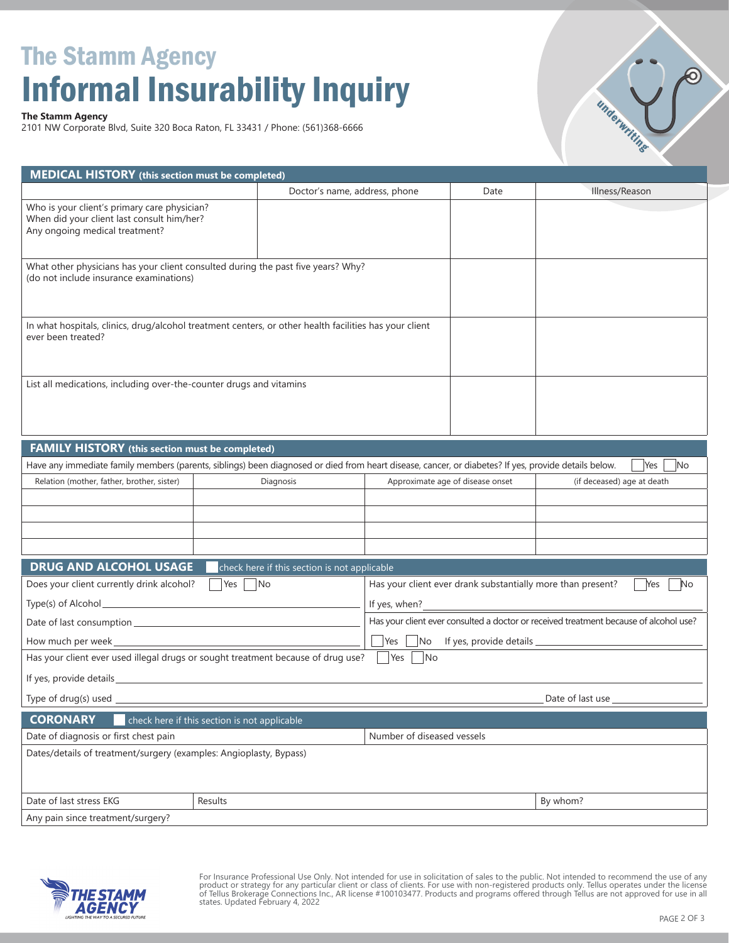## The Stamm Agency Informal Insurability Inquiry

**The Stamm Agency**

2101 NW Corporate Blvd, Suite 320 Boca Raton, FL 33431 / Phone: (561)368-6666

| <b>MEDICAL HISTORY</b> (this section must be completed)                                                                                                                                                                        |                                              |                                                                                                                                                                                                                                                                                                                                                                                                                                                                                                                                                        |                                                             |                            |
|--------------------------------------------------------------------------------------------------------------------------------------------------------------------------------------------------------------------------------|----------------------------------------------|--------------------------------------------------------------------------------------------------------------------------------------------------------------------------------------------------------------------------------------------------------------------------------------------------------------------------------------------------------------------------------------------------------------------------------------------------------------------------------------------------------------------------------------------------------|-------------------------------------------------------------|----------------------------|
|                                                                                                                                                                                                                                | Doctor's name, address, phone                |                                                                                                                                                                                                                                                                                                                                                                                                                                                                                                                                                        | Date                                                        | Illness/Reason             |
| Who is your client's primary care physician?<br>When did your client last consult him/her?<br>Any ongoing medical treatment?                                                                                                   |                                              |                                                                                                                                                                                                                                                                                                                                                                                                                                                                                                                                                        |                                                             |                            |
| What other physicians has your client consulted during the past five years? Why?<br>(do not include insurance examinations)                                                                                                    |                                              |                                                                                                                                                                                                                                                                                                                                                                                                                                                                                                                                                        |                                                             |                            |
| In what hospitals, clinics, drug/alcohol treatment centers, or other health facilities has your client<br>ever been treated?                                                                                                   |                                              |                                                                                                                                                                                                                                                                                                                                                                                                                                                                                                                                                        |                                                             |                            |
| List all medications, including over-the-counter drugs and vitamins                                                                                                                                                            |                                              |                                                                                                                                                                                                                                                                                                                                                                                                                                                                                                                                                        |                                                             |                            |
| <b>FAMILY HISTORY</b> (this section must be completed)                                                                                                                                                                         |                                              |                                                                                                                                                                                                                                                                                                                                                                                                                                                                                                                                                        |                                                             |                            |
| Have any immediate family members (parents, siblings) been diagnosed or died from heart disease, cancer, or diabetes? If yes, provide details below.                                                                           |                                              |                                                                                                                                                                                                                                                                                                                                                                                                                                                                                                                                                        |                                                             | N <sub>O</sub><br>Yes      |
| Relation (mother, father, brother, sister)                                                                                                                                                                                     | Diagnosis                                    |                                                                                                                                                                                                                                                                                                                                                                                                                                                                                                                                                        | Approximate age of disease onset                            | (if deceased) age at death |
|                                                                                                                                                                                                                                |                                              |                                                                                                                                                                                                                                                                                                                                                                                                                                                                                                                                                        |                                                             |                            |
|                                                                                                                                                                                                                                |                                              |                                                                                                                                                                                                                                                                                                                                                                                                                                                                                                                                                        |                                                             |                            |
|                                                                                                                                                                                                                                |                                              |                                                                                                                                                                                                                                                                                                                                                                                                                                                                                                                                                        |                                                             |                            |
|                                                                                                                                                                                                                                |                                              |                                                                                                                                                                                                                                                                                                                                                                                                                                                                                                                                                        |                                                             |                            |
| <b>DRUG AND ALCOHOL USAGE</b>                                                                                                                                                                                                  | check here if this section is not applicable |                                                                                                                                                                                                                                                                                                                                                                                                                                                                                                                                                        |                                                             |                            |
| $Yes$ No<br>Does your client currently drink alcohol?                                                                                                                                                                          |                                              |                                                                                                                                                                                                                                                                                                                                                                                                                                                                                                                                                        | Has your client ever drank substantially more than present? | No<br>Yes                  |
|                                                                                                                                                                                                                                |                                              |                                                                                                                                                                                                                                                                                                                                                                                                                                                                                                                                                        |                                                             |                            |
|                                                                                                                                                                                                                                |                                              | If yes, when? $\frac{1}{\sqrt{1-\frac{1}{2}}}\left\{\cos \left(\frac{1}{2} \cos \left(\frac{1}{2} \cos \left(\frac{1}{2} \cos \left(\frac{1}{2} \cos \left(\frac{1}{2} \cos \left(\frac{1}{2} \cos \left(\frac{1}{2} \cos \left(\frac{1}{2} \cos \left(\frac{1}{2} \cos \left(\frac{1}{2} \cos \left(\frac{1}{2} \cos \left(\frac{1}{2} \cos \left(\frac{1}{2} \cos \left(\frac{1}{2} \cos \left(\frac{1}{2} \cos \left(\frac{1}{2} \cos \left(\frac{1}{2} \$<br>Has your client ever consulted a doctor or received treatment because of alcohol use? |                                                             |                            |
|                                                                                                                                                                                                                                |                                              | Yes                                                                                                                                                                                                                                                                                                                                                                                                                                                                                                                                                    |                                                             |                            |
| Has your client ever used illegal drugs or sought treatment because of drug use?                                                                                                                                               |                                              | Yes<br><b>No</b>                                                                                                                                                                                                                                                                                                                                                                                                                                                                                                                                       |                                                             |                            |
| If yes, provide details experience and the set of the set of the set of the set of the set of the set of the set of the set of the set of the set of the set of the set of the set of the set of the set of the set of the set |                                              |                                                                                                                                                                                                                                                                                                                                                                                                                                                                                                                                                        |                                                             |                            |
| Type of drug(s) used                                                                                                                                                                                                           |                                              |                                                                                                                                                                                                                                                                                                                                                                                                                                                                                                                                                        |                                                             | Date of last use           |
| <b>CORONARY</b><br>check here if this section is not applicable                                                                                                                                                                |                                              |                                                                                                                                                                                                                                                                                                                                                                                                                                                                                                                                                        |                                                             |                            |
| Number of diseased vessels<br>Date of diagnosis or first chest pain                                                                                                                                                            |                                              |                                                                                                                                                                                                                                                                                                                                                                                                                                                                                                                                                        |                                                             |                            |
| Dates/details of treatment/surgery (examples: Angioplasty, Bypass)                                                                                                                                                             |                                              |                                                                                                                                                                                                                                                                                                                                                                                                                                                                                                                                                        |                                                             |                            |
|                                                                                                                                                                                                                                |                                              |                                                                                                                                                                                                                                                                                                                                                                                                                                                                                                                                                        |                                                             |                            |
| Date of last stress EKG<br>Results                                                                                                                                                                                             |                                              |                                                                                                                                                                                                                                                                                                                                                                                                                                                                                                                                                        |                                                             | By whom?                   |
| Any pain since treatment/surgery?                                                                                                                                                                                              |                                              |                                                                                                                                                                                                                                                                                                                                                                                                                                                                                                                                                        |                                                             |                            |



For Insurance Professional Use Only. Not intended for use in solicitation of sales to the public. Not intended to recommend the use of any product or strategy for any particular client or class of clients. For use with non-registered products only. Tellus operates under the license<br>of Tellus Brokerage Connections Inc., AR license #100103477. Products and prog

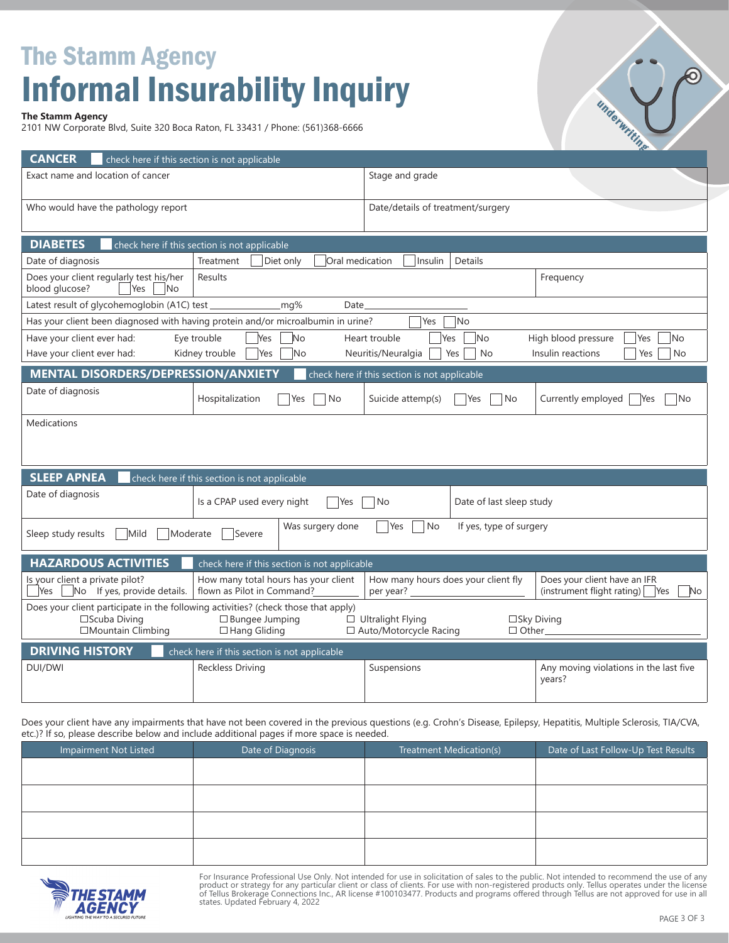## The Stamm Agency Informal Insurability Inquiry

underwriting

#### **The Stamm Agency**

2101 NW Corporate Blvd, Suite 320 Boca Raton, FL 33431 / Phone: (561)368-6666

|                                                                                                                                                                           |                                                                                  |                                              | ଟ୍                                               |
|---------------------------------------------------------------------------------------------------------------------------------------------------------------------------|----------------------------------------------------------------------------------|----------------------------------------------|--------------------------------------------------|
| <b>CANCER</b><br>check here if this section is not applicable                                                                                                             |                                                                                  |                                              |                                                  |
| Exact name and location of cancer                                                                                                                                         |                                                                                  | Stage and grade                              |                                                  |
|                                                                                                                                                                           |                                                                                  |                                              |                                                  |
| Who would have the pathology report                                                                                                                                       |                                                                                  | Date/details of treatment/surgery            |                                                  |
|                                                                                                                                                                           |                                                                                  |                                              |                                                  |
| <b>DIABETES</b>                                                                                                                                                           | check here if this section is not applicable                                     |                                              |                                                  |
| Date of diagnosis                                                                                                                                                         | Treatment<br>Diet only<br>Oral medication                                        | Insulin<br>Details                           |                                                  |
| Does your client regularly test his/her<br>blood glucose?<br>Yes<br>No                                                                                                    | Results                                                                          |                                              | Frequency                                        |
| Latest result of glycohemoglobin (A1C) test                                                                                                                               | mg%<br>Date                                                                      |                                              |                                                  |
|                                                                                                                                                                           | Has your client been diagnosed with having protein and/or microalbumin in urine? | Yes<br><b>No</b>                             |                                                  |
| Have your client ever had:                                                                                                                                                | Eye trouble<br>No<br>Yes                                                         | Heart trouble<br>No<br>Yes                   | High blood pressure<br>No<br>Yes                 |
| Have your client ever had:                                                                                                                                                | Kidney trouble<br>No<br>Yes                                                      | Neuritis/Neuralgia<br>Yes<br><b>No</b>       | Insulin reactions<br>Yes<br>No                   |
| MENTAL DISORDERS/DEPRESSION/ANXIETY                                                                                                                                       |                                                                                  | check here if this section is not applicable |                                                  |
| Date of diagnosis                                                                                                                                                         |                                                                                  |                                              |                                                  |
|                                                                                                                                                                           | Hospitalization<br><b>No</b><br>Yes                                              | Suicide attemp(s)<br>Yes<br>No               | Currently employed<br>No<br>- Yes                |
| <b>Medications</b>                                                                                                                                                        |                                                                                  |                                              |                                                  |
|                                                                                                                                                                           |                                                                                  |                                              |                                                  |
|                                                                                                                                                                           |                                                                                  |                                              |                                                  |
| <b>SLEEP APNEA</b>                                                                                                                                                        | check here if this section is not applicable                                     |                                              |                                                  |
| Date of diagnosis                                                                                                                                                         |                                                                                  |                                              |                                                  |
|                                                                                                                                                                           | Is a CPAP used every night<br>Yes                                                | Date of last sleep study<br>No               |                                                  |
|                                                                                                                                                                           | Was surgery done                                                                 | If yes, type of surgery<br>Yes<br>No         |                                                  |
| Moderate<br>Sleep study results<br>Mild<br>Severe                                                                                                                         |                                                                                  |                                              |                                                  |
| <b>HAZARDOUS ACTIVITIES</b><br>check here if this section is not applicable                                                                                               |                                                                                  |                                              |                                                  |
| Is your client a private pilot?                                                                                                                                           | How many total hours has your client                                             | How many hours does your client fly          | Does your client have an IFR                     |
| No If yes, provide details.<br>Yes                                                                                                                                        | flown as Pilot in Command?                                                       | per year?                                    | (instrument flight rating)<br>Yes<br>No          |
| Does your client participate in the following activities? (check those that apply)                                                                                        |                                                                                  |                                              |                                                  |
| □ Bungee Jumping<br>$\Box$ Ultralight Flying<br>□Scuba Diving<br>$\square$ Sky Diving<br>□ Hang Gliding<br>□ Auto/Motorcycle Racing<br>□Mountain Climbing<br>$\Box$ Other |                                                                                  |                                              |                                                  |
|                                                                                                                                                                           |                                                                                  |                                              |                                                  |
| <b>DRIVING HISTORY</b>                                                                                                                                                    | check here if this section is not applicable                                     |                                              |                                                  |
| DUI/DWI                                                                                                                                                                   | <b>Reckless Driving</b>                                                          | Suspensions                                  | Any moving violations in the last five<br>years? |
|                                                                                                                                                                           |                                                                                  |                                              |                                                  |

Does your client have any impairments that have not been covered in the previous questions (e.g. Crohn's Disease, Epilepsy, Hepatitis, Multiple Sclerosis, TIA/CVA, etc.)? If so, please describe below and include additional pages if more space is needed.

| Impairment Not Listed | Date of Diagnosis | Treatment Medication(s) | Date of Last Follow-Up Test Results |
|-----------------------|-------------------|-------------------------|-------------------------------------|
|                       |                   |                         |                                     |
|                       |                   |                         |                                     |
|                       |                   |                         |                                     |
|                       |                   |                         |                                     |
|                       |                   |                         |                                     |
|                       |                   |                         |                                     |
|                       |                   |                         |                                     |
|                       |                   |                         |                                     |



For Insurance Professional Use Only. Not intended for use in solicitation of sales to the public. Not intended to recommend the use of any product or strategy for any particular client or class of clients. For use with non-registered products only. Tellus operates under the license<br>of Tellus Brokerage Connections Inc., AR license #100103477. Products and prog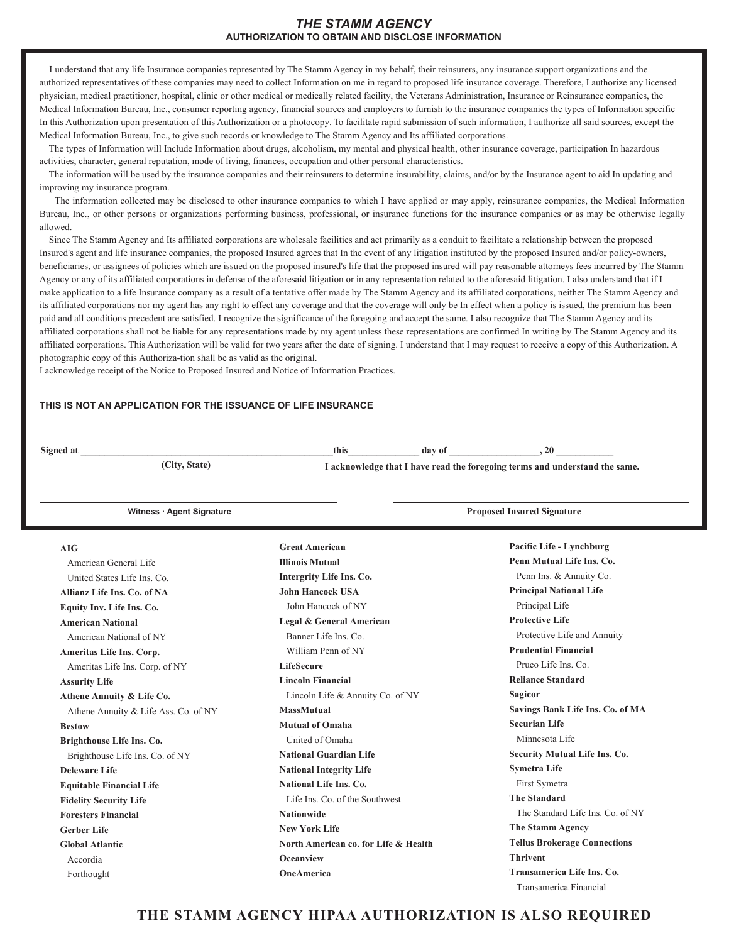I understand that any life Insurance companies represented by The Stamm Agency in my behalf, their reinsurers, any insurance support organizations and the authorized representatives of these companies may need to collect Information on me in regard to proposed life insurance coverage. Therefore, I authorize any licensed physician, medical practitioner, hospital, clinic or other medical or medically related facility, the Veterans Administration, Insurance or Reinsurance companies, the Medical Information Bureau, Inc., consumer reporting agency, financial sources and employers to furnish to the insurance companies the types of Information specific In this Authorization upon presentation of this Authorization or a photocopy. To facilitate rapid submission of such information, I authorize all said sources, except the Medical Information Bureau, Inc., to give such records or knowledge to The Stamm Agency and Its affiliated corporations.

 The types of Information will Include Information about drugs, alcoholism, my mental and physical health, other insurance coverage, participation In hazardous activities, character, general reputation, mode of living, finances, occupation and other personal characteristics.

 The information will be used by the insurance companies and their reinsurers to determine insurability, claims, and/or by the Insurance agent to aid In updating and improving my insurance program.

 The information collected may be disclosed to other insurance companies to which I have applied or may apply, reinsurance companies, the Medical Information Bureau, Inc., or other persons or organizations performing business, professional, or insurance functions for the insurance companies or as may be otherwise legally allowed.

 Since The Stamm Agency and Its affiliated corporations are wholesale facilities and act primarily as a conduit to facilitate a relationship between the proposed Insured's agent and life insurance companies, the proposed Insured agrees that In the event of any litigation instituted by the proposed Insured and/or policy-owners, beneficiaries, or assignees of policies which are issued on the proposed insured's life that the proposed insured will pay reasonable attorneys fees incurred by The Stamm Agency or any of its affiliated corporations in defense of the aforesaid litigation or in any representation related to the aforesaid litigation. I also understand that if I make application to a life Insurance company as a result of a tentative offer made by The Stamm Agency and its affiliated corporations, neither The Stamm Agency and its affiliated corporations nor my agent has any right to effect any coverage and that the coverage will only be In effect when a policy is issued, the premium has been paid and all conditions precedent are satisfied. I recognize the significance of the foregoing and accept the same. I also recognize that The Stamm Agency and its affiliated corporations shall not be liable for any representations made by my agent unless these representations are confirmed In writing by The Stamm Agency and its affiliated corporations. This Authorization will be valid for two years after the date of signing. I understand that I may request to receive a copy of this Authorization. A photographic copy of this Authoriza-tion shall be as valid as the original.

I acknowledge receipt of the Notice to Proposed Insured and Notice of Information Practices.

#### **THIS IS NOT AN APPLICATION FOR THE ISSUANCE OF LIFE INSURANCE**

**Signed at \_\_\_\_\_\_\_\_\_\_\_\_\_\_\_\_\_\_\_\_\_\_\_\_\_\_\_\_\_\_\_\_\_\_\_\_\_\_\_\_\_\_\_\_\_\_\_\_\_\_\_\_\_this\_\_\_\_\_\_\_\_\_\_\_\_\_\_\_ day of \_\_\_\_\_\_\_\_\_\_\_\_\_\_\_\_\_\_\_, 20 \_\_\_\_\_\_\_\_\_\_\_\_**

**(City, State) I acknowledge that I have read the foregoing terms and understand the same.**

| Witness · Agent Signature            |                                      | <b>Proposed Insured Signature</b>                    |
|--------------------------------------|--------------------------------------|------------------------------------------------------|
| <b>AIG</b>                           | <b>Great American</b>                | Pacific Life - Lynchburg                             |
| American General Life                | <b>Illinois Mutual</b>               | Penn Mutual Life Ins. Co.                            |
| United States Life Ins. Co.          | Intergrity Life Ins. Co.             | Penn Ins. & Annuity Co.                              |
| Allianz Life Ins. Co. of NA          | <b>John Hancock USA</b>              | <b>Principal National Life</b>                       |
| Equity Inv. Life Ins. Co.            | John Hancock of NY                   | Principal Life                                       |
| <b>American National</b>             | Legal & General American             | <b>Protective Life</b>                               |
| American National of NY              | Banner Life Ins. Co.                 | Protective Life and Annuity                          |
| Ameritas Life Ins. Corp.             | William Penn of NY                   | <b>Prudential Financial</b>                          |
| Ameritas Life Ins. Corp. of NY       | <b>LifeSecure</b>                    | Pruco Life Ins. Co.                                  |
| <b>Assurity Life</b>                 | <b>Lincoln Financial</b>             | <b>Reliance Standard</b>                             |
| Athene Annuity & Life Co.            | Lincoln Life & Annuity Co. of NY     | <b>Sagicor</b>                                       |
| Athene Annuity & Life Ass. Co. of NY | <b>MassMutual</b>                    | Savings Bank Life Ins. Co. of MA                     |
| <b>Bestow</b>                        | <b>Mutual of Omaha</b>               | <b>Securian Life</b>                                 |
| Brighthouse Life Ins. Co.            | United of Omaha                      | Minnesota Life                                       |
| Brighthouse Life Ins. Co. of NY      | <b>National Guardian Life</b>        | <b>Security Mutual Life Ins. Co.</b>                 |
| Deleware Life                        | <b>National Integrity Life</b>       | <b>Symetra Life</b>                                  |
| <b>Equitable Financial Life</b>      | National Life Ins. Co.               | First Symetra                                        |
| <b>Fidelity Security Life</b>        | Life Ins. Co. of the Southwest       | <b>The Standard</b>                                  |
| <b>Foresters Financial</b>           | <b>Nationwide</b>                    | The Standard Life Ins. Co. of NY                     |
| <b>Gerber Life</b>                   | <b>New York Life</b>                 | The Stamm Agency                                     |
| <b>Global Atlantic</b>               | North American co. for Life & Health | <b>Tellus Brokerage Connections</b>                  |
| Accordia                             | <b>Oceanview</b>                     | <b>Thrivent</b>                                      |
| Forthought                           | <b>OneAmerica</b>                    | Transamerica Life Ins. Co.<br>Transamerica Financial |

### **THE STAMM AGENCY HIPAA AUTHORIZATION IS ALSO REQUIRED**